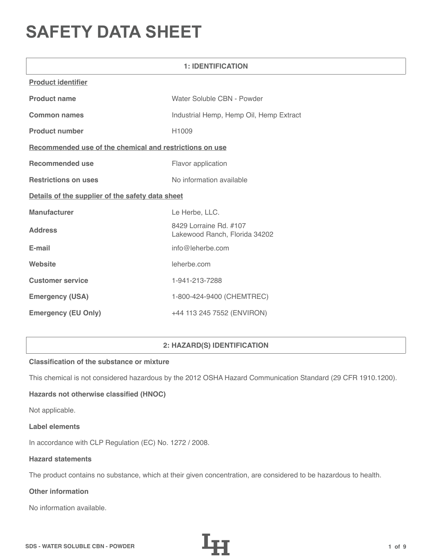# **SAFETY DATA SHEET**

| <b>1: IDENTIFICATION</b>                                |                                                         |  |  |
|---------------------------------------------------------|---------------------------------------------------------|--|--|
| <b>Product identifier</b>                               |                                                         |  |  |
| <b>Product name</b>                                     | Water Soluble CBN - Powder                              |  |  |
| <b>Common names</b>                                     | Industrial Hemp, Hemp Oil, Hemp Extract                 |  |  |
| <b>Product number</b>                                   | H1009                                                   |  |  |
| Recommended use of the chemical and restrictions on use |                                                         |  |  |
| <b>Recommended use</b>                                  | Flavor application                                      |  |  |
| <b>Restrictions on uses</b>                             | No information available                                |  |  |
| Details of the supplier of the safety data sheet        |                                                         |  |  |
| <b>Manufacturer</b>                                     | Le Herbe, LLC.                                          |  |  |
| <b>Address</b>                                          | 8429 Lorraine Rd. #107<br>Lakewood Ranch, Florida 34202 |  |  |
| E-mail                                                  | info@leherbe.com                                        |  |  |
| Website                                                 | leherbe.com                                             |  |  |
| <b>Customer service</b>                                 | 1-941-213-7288                                          |  |  |
| <b>Emergency (USA)</b>                                  | 1-800-424-9400 (CHEMTREC)                               |  |  |
| <b>Emergency (EU Only)</b>                              | +44 113 245 7552 (ENVIRON)                              |  |  |

# **2: HAZARD(S) IDENTIFICATION**

## **Classification of the substance or mixture**

This chemical is not considered hazardous by the 2012 OSHA Hazard Communication Standard (29 CFR 1910.1200).

# **Hazards not otherwise classified (HNOC)**

Not applicable.

#### **Label elements**

In accordance with CLP Regulation (EC) No. 1272 / 2008.

## **Hazard statements**

The product contains no substance, which at their given concentration, are considered to be hazardous to health.

# **Other information**

No information available.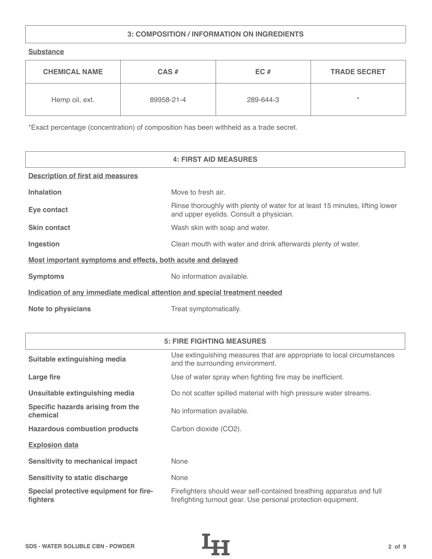# **3: COMPOSITION / INFORMATION ON INGREDIENTS**

**Substance**

| <b>CHEMICAL NAME</b> | $CAS \#$   | EC#       | <b>TRADE SECRET</b> |
|----------------------|------------|-----------|---------------------|
| Hemp oil, ext.       | 89958-21-4 | 289-644-3 | $\star$             |

\*Exact percentage (concentration) of composition has been withheld as a trade secret.

|                                                                            | <b>4: FIRST AID MEASURES</b>                                                                                            |
|----------------------------------------------------------------------------|-------------------------------------------------------------------------------------------------------------------------|
| <b>Description of first aid measures</b>                                   |                                                                                                                         |
| <b>Inhalation</b>                                                          | Move to fresh air.                                                                                                      |
| Eye contact                                                                | Rinse thoroughly with plenty of water for at least 15 minutes, lifting lower<br>and upper eyelids. Consult a physician. |
| <b>Skin contact</b>                                                        | Wash skin with soap and water.                                                                                          |
| Ingestion                                                                  | Clean mouth with water and drink afterwards plenty of water.                                                            |
| Most important symptoms and effects, both acute and delayed                |                                                                                                                         |
| <b>Symptoms</b>                                                            | No information available.                                                                                               |
| Indication of any immediate medical attention and special treatment needed |                                                                                                                         |
| <b>Note to physicians</b>                                                  | Treat symptomatically.                                                                                                  |

|                                                    | <b>5: FIRE FIGHTING MEASURES</b>                                                                                                      |
|----------------------------------------------------|---------------------------------------------------------------------------------------------------------------------------------------|
| Suitable extinguishing media                       | Use extinguishing measures that are appropriate to local circumstances<br>and the surrounding environment.                            |
| Large fire                                         | Use of water spray when fighting fire may be inefficient.                                                                             |
| Unsuitable extinguishing media                     | Do not scatter spilled material with high pressure water streams.                                                                     |
| Specific hazards arising from the<br>chemical      | No information available.                                                                                                             |
| <b>Hazardous combustion products</b>               | Carbon dioxide (CO2).                                                                                                                 |
| <b>Explosion data</b>                              |                                                                                                                                       |
| <b>Sensitivity to mechanical impact</b>            | None                                                                                                                                  |
| <b>Sensitivity to static discharge</b>             | None                                                                                                                                  |
| Special protective equipment for fire-<br>fighters | Firefighters should wear self-contained breathing apparatus and full<br>firefighting turnout gear. Use personal protection equipment. |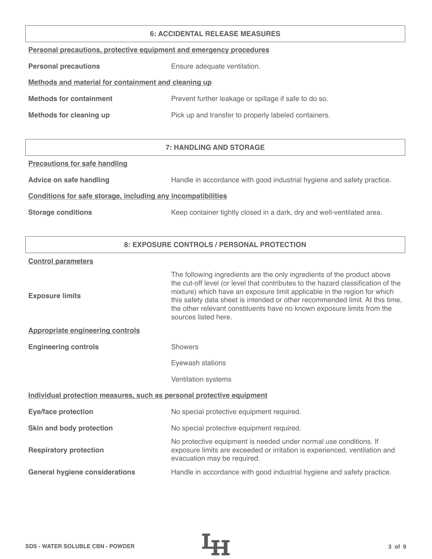#### **6: ACCIDENTAL RELEASE MEASURES**

|  |  |  | Personal precautions, protective equipment and emergency procedures |
|--|--|--|---------------------------------------------------------------------|
|  |  |  |                                                                     |

**Personal precautions** Ensure adequate ventilation.

# **Methods and material for containment and cleaning up**

| <b>Methods for containment</b> | Prevent further leakage or spillage if safe to do so. |
|--------------------------------|-------------------------------------------------------|
|                                |                                                       |

**Methods for cleaning up Pick up and transfer to properly labeled containers.** 

# **7: HANDLING AND STORAGE**

## **Precautions for safe handling**

Advice on safe handling **Handle in accordance with good industrial hygiene and safety practice.** 

## **Conditions for safe storage, including any incompatibilities**

**Storage conditions** Keep container tightly closed in a dark, dry and well-ventilated area.

## **8: EXPOSURE CONTROLS / PERSONAL PROTECTION**

#### **Control parameters**

| <b>Exposure limits</b>                                                | The following ingredients are the only ingredients of the product above<br>the cut-off level (or level that contributes to the hazard classification of the<br>mixture) which have an exposure limit applicable in the region for which<br>this safety data sheet is intended or other recommended limit. At this time,<br>the other relevant constituents have no known exposure limits from the<br>sources listed here. |  |
|-----------------------------------------------------------------------|---------------------------------------------------------------------------------------------------------------------------------------------------------------------------------------------------------------------------------------------------------------------------------------------------------------------------------------------------------------------------------------------------------------------------|--|
| <b>Appropriate engineering controls</b>                               |                                                                                                                                                                                                                                                                                                                                                                                                                           |  |
| <b>Engineering controls</b>                                           | <b>Showers</b>                                                                                                                                                                                                                                                                                                                                                                                                            |  |
|                                                                       | Eyewash stations                                                                                                                                                                                                                                                                                                                                                                                                          |  |
|                                                                       | Ventilation systems                                                                                                                                                                                                                                                                                                                                                                                                       |  |
| Individual protection measures, such as personal protective equipment |                                                                                                                                                                                                                                                                                                                                                                                                                           |  |
| <b>Eye/face protection</b>                                            | No special protective equipment required.                                                                                                                                                                                                                                                                                                                                                                                 |  |
| Skin and body protection                                              | No special protective equipment required.                                                                                                                                                                                                                                                                                                                                                                                 |  |
| <b>Respiratory protection</b>                                         | No protective equipment is needed under normal use conditions. If<br>exposure limits are exceeded or irritation is experienced, ventilation and<br>evacuation may be required.                                                                                                                                                                                                                                            |  |
| <b>General hygiene considerations</b>                                 | Handle in accordance with good industrial hygiene and safety practice.                                                                                                                                                                                                                                                                                                                                                    |  |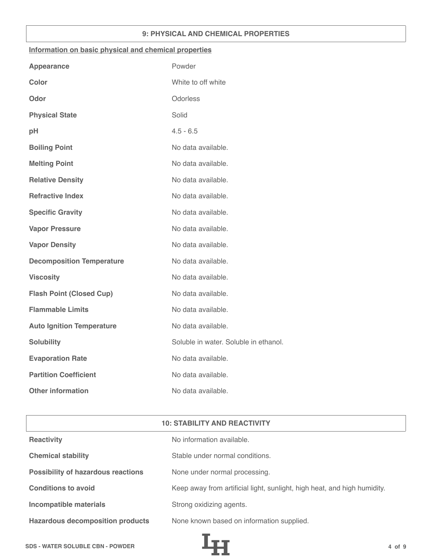## **9: PHYSICAL AND CHEMICAL PROPERTIES**

## **Information on basic physical and chemical properties**

| Powder                                |
|---------------------------------------|
| White to off white                    |
| Odorless                              |
| Solid                                 |
| $4.5 - 6.5$                           |
| No data available.                    |
| No data available.                    |
| No data available.                    |
| No data available.                    |
| No data available.                    |
| No data available.                    |
| No data available.                    |
| No data available.                    |
| No data available.                    |
| No data available.                    |
| No data available.                    |
| No data available.                    |
| Soluble in water. Soluble in ethanol. |
| No data available.                    |
| No data available.                    |
| No data available.                    |
|                                       |

| <b>10: STABILITY AND REACTIVITY</b>       |                                                                          |  |
|-------------------------------------------|--------------------------------------------------------------------------|--|
| <b>Reactivity</b>                         | No information available.                                                |  |
| <b>Chemical stability</b>                 | Stable under normal conditions.                                          |  |
| <b>Possibility of hazardous reactions</b> | None under normal processing.                                            |  |
| <b>Conditions to avoid</b>                | Keep away from artificial light, sunlight, high heat, and high humidity. |  |
| <b>Incompatible materials</b>             | Strong oxidizing agents.                                                 |  |
| <b>Hazardous decomposition products</b>   | None known based on information supplied.                                |  |

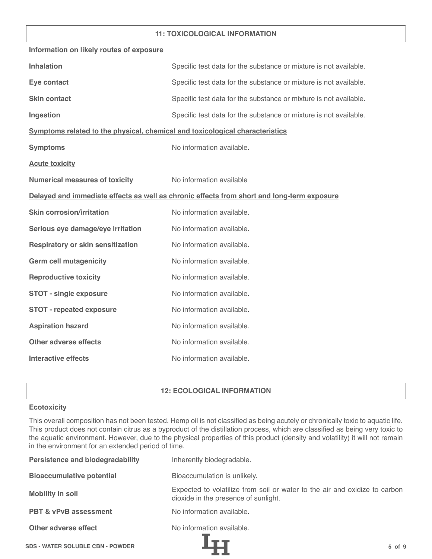## **11: TOXICOLOGICAL INFORMATION**

| Information on likely routes of exposure                                     |                                                                                            |
|------------------------------------------------------------------------------|--------------------------------------------------------------------------------------------|
| <b>Inhalation</b>                                                            | Specific test data for the substance or mixture is not available.                          |
| Eye contact                                                                  | Specific test data for the substance or mixture is not available.                          |
| <b>Skin contact</b>                                                          | Specific test data for the substance or mixture is not available.                          |
| Ingestion                                                                    | Specific test data for the substance or mixture is not available.                          |
| Symptoms related to the physical, chemical and toxicological characteristics |                                                                                            |
| <b>Symptoms</b>                                                              | No information available.                                                                  |
| <b>Acute toxicity</b>                                                        |                                                                                            |
| <b>Numerical measures of toxicity</b>                                        | No information available                                                                   |
|                                                                              | Delayed and immediate effects as well as chronic effects from short and long-term exposure |
| <b>Skin corrosion/irritation</b>                                             | No information available.                                                                  |
| Serious eye damage/eye irritation                                            | No information available.                                                                  |
| <b>Respiratory or skin sensitization</b>                                     | No information available.                                                                  |
| <b>Germ cell mutagenicity</b>                                                | No information available.                                                                  |
| <b>Reproductive toxicity</b>                                                 | No information available.                                                                  |
| <b>STOT - single exposure</b>                                                | No information available.                                                                  |
| <b>STOT - repeated exposure</b>                                              | No information available.                                                                  |
| <b>Aspiration hazard</b>                                                     | No information available.                                                                  |
| <b>Other adverse effects</b>                                                 | No information available.                                                                  |
| <b>Interactive effects</b>                                                   | No information available.                                                                  |

## **12: ECOLOGICAL INFORMATION**

## **Ecotoxicity**

This overall composition has not been tested. Hemp oil is not classified as being acutely or chronically toxic to aquatic life. This product does not contain citrus as a byproduct of the distillation process, which are classified as being very toxic to the aquatic environment. However, due to the physical properties of this product (density and volatility) it will not remain in the environment for an extended period of time.

| <b>Persistence and biodegradability</b> | Inherently biodegradable.                                                                                          |
|-----------------------------------------|--------------------------------------------------------------------------------------------------------------------|
| <b>Bioaccumulative potential</b>        | Bioaccumulation is unlikely.                                                                                       |
| <b>Mobility in soil</b>                 | Expected to volatilize from soil or water to the air and oxidize to carbon<br>dioxide in the presence of sunlight. |
| <b>PBT &amp; vPvB assessment</b>        | No information available.                                                                                          |
| Other adverse effect                    | No information available.                                                                                          |
| <b>SDS - WATER SOLUBLE CBN - POWDER</b> | $5$ of $9$                                                                                                         |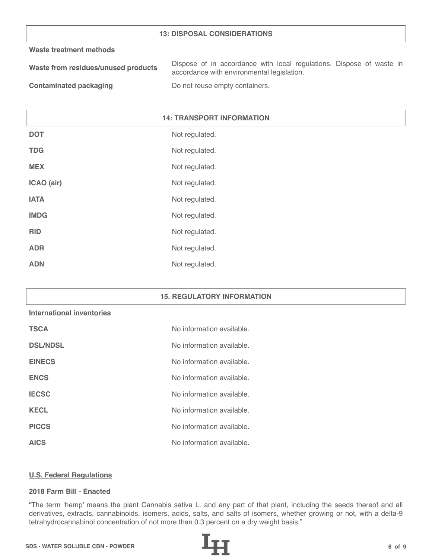## **13: DISPOSAL CONSIDERATIONS**

#### **Waste treatment methods**

| Waste from residues/unused products | Dispose of in accordance with local regulations. Dispose of waste in |
|-------------------------------------|----------------------------------------------------------------------|
|                                     | accordance with environmental legislation.                           |
|                                     |                                                                      |

**Contaminated packaging The Contaminated packaging Containers.** 

# **14: TRANSPORT INFORMATION**

| <b>DOT</b>  | Not regulated. |
|-------------|----------------|
| <b>TDG</b>  | Not regulated. |
| <b>MEX</b>  | Not regulated. |
| ICAO (air)  | Not regulated. |
| <b>IATA</b> | Not regulated. |
| <b>IMDG</b> | Not regulated. |
| <b>RID</b>  | Not regulated. |
| <b>ADR</b>  | Not regulated. |
| <b>ADN</b>  | Not regulated. |

#### **15. REGULATORY INFORMATION**

#### **International inventories**

| <b>TSCA</b>     | No information available. |
|-----------------|---------------------------|
| <b>DSL/NDSL</b> | No information available. |
| <b>EINECS</b>   | No information available. |
| <b>ENCS</b>     | No information available. |
| <b>IECSC</b>    | No information available. |
| <b>KECL</b>     | No information available. |
| <b>PICCS</b>    | No information available. |
| <b>AICS</b>     | No information available. |

#### **U.S. Federal Regulations**

## **2018 Farm Bill - Enacted**

"The term 'hemp' means the plant Cannabis sativa L. and any part of that plant, including the seeds thereof and all derivatives, extracts, cannabinoids, isomers, acids, salts, and salts of isomers, whether growing or not, with a delta-9 tetrahydrocannabinol concentration of not more than 0.3 percent on a dry weight basis."

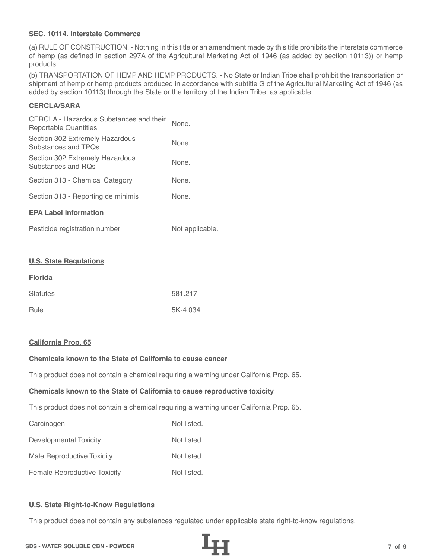## **SEC. 10114. Interstate Commerce**

(a) RULE OF CONSTRUCTION. - Nothing in this title or an amendment made by this title prohibits the interstate commerce of hemp (as defined in section 297A of the Agricultural Marketing Act of 1946 (as added by section 10113)) or hemp products.

(b) TRANSPORTATION OF HEMP AND HEMP PRODUCTS. - No State or Indian Tribe shall prohibit the transportation or shipment of hemp or hemp products produced in accordance with subtitle G of the Agricultural Marketing Act of 1946 (as added by section 10113) through the State or the territory of the Indian Tribe, as applicable.

# **CERCLA/SARA**

| CERCLA - Hazardous Substances and their<br>Reportable Quantities | None. |
|------------------------------------------------------------------|-------|
| Section 302 Extremely Hazardous<br>Substances and TPOs           | None. |
| Section 302 Extremely Hazardous<br>Substances and ROs            | None. |
| Section 313 - Chemical Category                                  | None. |
| Section 313 - Reporting de minimis                               | None. |
| <b>EPA Label Information</b>                                     |       |
|                                                                  |       |

| Pesticide registration number | Not applicable. |
|-------------------------------|-----------------|
|-------------------------------|-----------------|

#### **U.S. State Regulations**

| <b>Florida</b>  |          |
|-----------------|----------|
| <b>Statutes</b> | 581.217  |
| Rule            | 5K-4.034 |

#### **California Prop. 65**

# **Chemicals known to the State of California to cause cancer**

This product does not contain a chemical requiring a warning under California Prop. 65.

#### **Chemicals known to the State of California to cause reproductive toxicity**

This product does not contain a chemical requiring a warning under California Prop. 65.

| Carcinogen                          | Not listed. |
|-------------------------------------|-------------|
| Developmental Toxicity              | Not listed. |
| Male Reproductive Toxicity          | Not listed. |
| <b>Female Reproductive Toxicity</b> | Not listed. |

#### **U.S. State Right-to-Know Regulations**

This product does not contain any substances regulated under applicable state right-to-know regulations.

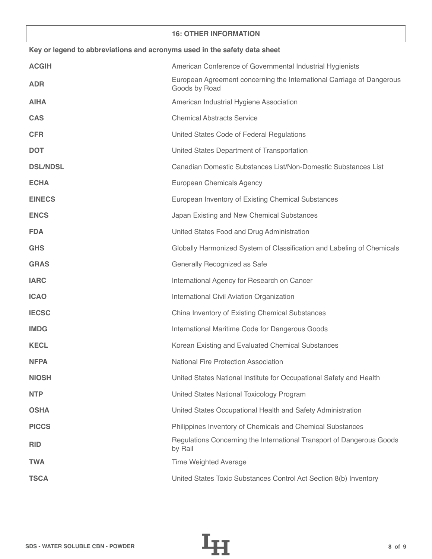## **16: OTHER INFORMATION**

| Key or legend to abbreviations and acronyms used in the safety data sheet |                                                                                        |  |
|---------------------------------------------------------------------------|----------------------------------------------------------------------------------------|--|
| <b>ACGIH</b>                                                              | American Conference of Governmental Industrial Hygienists                              |  |
| <b>ADR</b>                                                                | European Agreement concerning the International Carriage of Dangerous<br>Goods by Road |  |
| <b>AIHA</b>                                                               | American Industrial Hygiene Association                                                |  |
| <b>CAS</b>                                                                | <b>Chemical Abstracts Service</b>                                                      |  |
| <b>CFR</b>                                                                | United States Code of Federal Regulations                                              |  |
| <b>DOT</b>                                                                | United States Department of Transportation                                             |  |
| <b>DSL/NDSL</b>                                                           | Canadian Domestic Substances List/Non-Domestic Substances List                         |  |
| <b>ECHA</b>                                                               | European Chemicals Agency                                                              |  |
| <b>EINECS</b>                                                             | European Inventory of Existing Chemical Substances                                     |  |
| <b>ENCS</b>                                                               | Japan Existing and New Chemical Substances                                             |  |
| <b>FDA</b>                                                                | United States Food and Drug Administration                                             |  |
| <b>GHS</b>                                                                | Globally Harmonized System of Classification and Labeling of Chemicals                 |  |
| <b>GRAS</b>                                                               | Generally Recognized as Safe                                                           |  |
| <b>IARC</b>                                                               | International Agency for Research on Cancer                                            |  |
| <b>ICAO</b>                                                               | International Civil Aviation Organization                                              |  |
| <b>IECSC</b>                                                              | China Inventory of Existing Chemical Substances                                        |  |
| <b>IMDG</b>                                                               | International Maritime Code for Dangerous Goods                                        |  |
| <b>KECL</b>                                                               | Korean Existing and Evaluated Chemical Substances                                      |  |
| <b>NFPA</b>                                                               | <b>National Fire Protection Association</b>                                            |  |
| <b>NIOSH</b>                                                              | United States National Institute for Occupational Safety and Health                    |  |
| <b>NTP</b>                                                                | United States National Toxicology Program                                              |  |
| <b>OSHA</b>                                                               | United States Occupational Health and Safety Administration                            |  |
| <b>PICCS</b>                                                              | Philippines Inventory of Chemicals and Chemical Substances                             |  |
| <b>RID</b>                                                                | Regulations Concerning the International Transport of Dangerous Goods<br>by Rail       |  |
| <b>TWA</b>                                                                | <b>Time Weighted Average</b>                                                           |  |
| <b>TSCA</b>                                                               | United States Toxic Substances Control Act Section 8(b) Inventory                      |  |